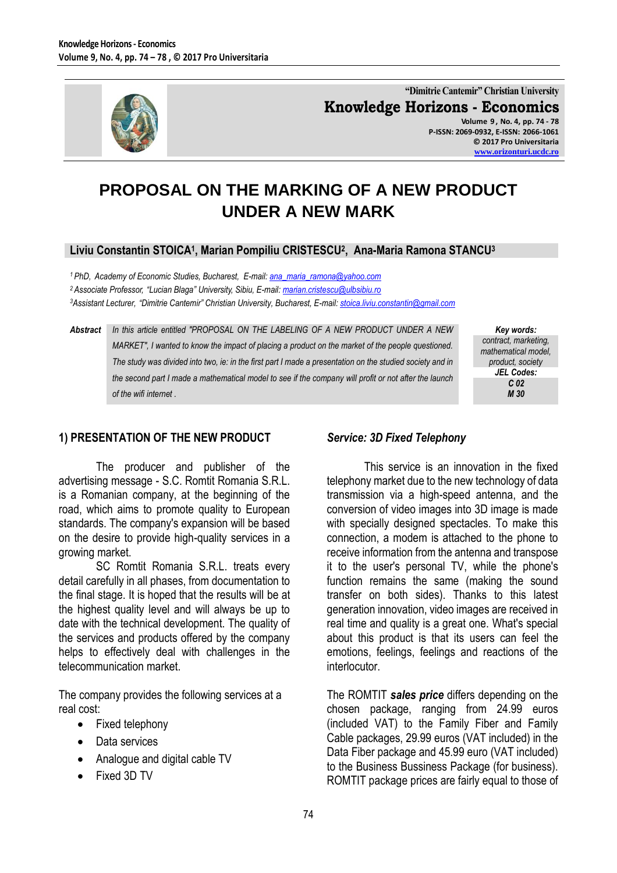

**"Dimitrie Cantemir" Christian University Knowledge Horizons - Economics Volume 9 , No. 4, pp. 74 - 78 P-ISSN: 2069-0932, E-ISSN: 2066-1061**

> **© 2017 Pro Universitaria [www.orizonturi.ucdc.ro](http://www.orizonturi.ucdc.ro/)**

# **PROPOSAL ON THE MARKING OF A NEW PRODUCT UNDER A NEW MARK**

# **Liviu Constantin STOICA<sup>1</sup> , Marian Pompiliu CRISTESCU<sup>2</sup> , Ana-Maria Ramona STANCU<sup>3</sup>**

*<sup>1</sup> PhD, Academy of Economic Studies, Bucharest, E-mail: [ana\\_maria\\_ramona@yahoo.com](mailto:ana_maria_ramona@yahoo.com) <sup>2</sup> Associate Professor, "Lucian Blaga" University, Sibiu, E-mail: [marian.cristescu@ulbsibiu.ro](mailto:marian.cristescu@ulbsibiu.ro) <sup>3</sup>Assistant Lecturer, "Dimitrie Cantemir" Christian University, Bucharest, E-mail: [stoica.liviu.constantin@gmail.com](mailto:stoica.liviu.constantin@gmail.com)*

*Abstract In this article entitled "PROPOSAL ON THE LABELING OF A NEW PRODUCT UNDER A NEW MARKET", I wanted to know the impact of placing a product on the market of the people questioned. The study was divided into two, ie: in the first part I made a presentation on the studied society and in the second part I made a mathematical model to see if the company will profit or not after the launch of the wifi internet .*

*Key words: contract, marketing, mathematical model, product, society JEL Codes: C 02 M 30*

#### **1) PRESENTATION OF THE NEW PRODUCT**

The producer and publisher of the advertising message - S.C. Romtit Romania S.R.L. is a Romanian company, at the beginning of the road, which aims to promote quality to European standards. The company's expansion will be based on the desire to provide high-quality services in a growing market.

SC Romtit Romania S.R.L. treats every detail carefully in all phases, from documentation to the final stage. It is hoped that the results will be at the highest quality level and will always be up to date with the technical development. The quality of the services and products offered by the company helps to effectively deal with challenges in the telecommunication market.

The company provides the following services at a real cost:

- Fixed telephony
- Data services
- Analogue and digital cable TV
- Fixed 3D TV

#### *Service: 3D Fixed Telephony*

This service is an innovation in the fixed telephony market due to the new technology of data transmission via a high-speed antenna, and the conversion of video images into 3D image is made with specially designed spectacles. To make this connection, a modem is attached to the phone to receive information from the antenna and transpose it to the user's personal TV, while the phone's function remains the same (making the sound transfer on both sides). Thanks to this latest generation innovation, video images are received in real time and quality is a great one. What's special about this product is that its users can feel the emotions, feelings, feelings and reactions of the interlocutor.

The ROMTIT *sales price* differs depending on the chosen package, ranging from 24.99 euros (included VAT) to the Family Fiber and Family Cable packages, 29.99 euros (VAT included) in the Data Fiber package and 45.99 euro (VAT included) to the Business Bussiness Package (for business). ROMTIT package prices are fairly equal to those of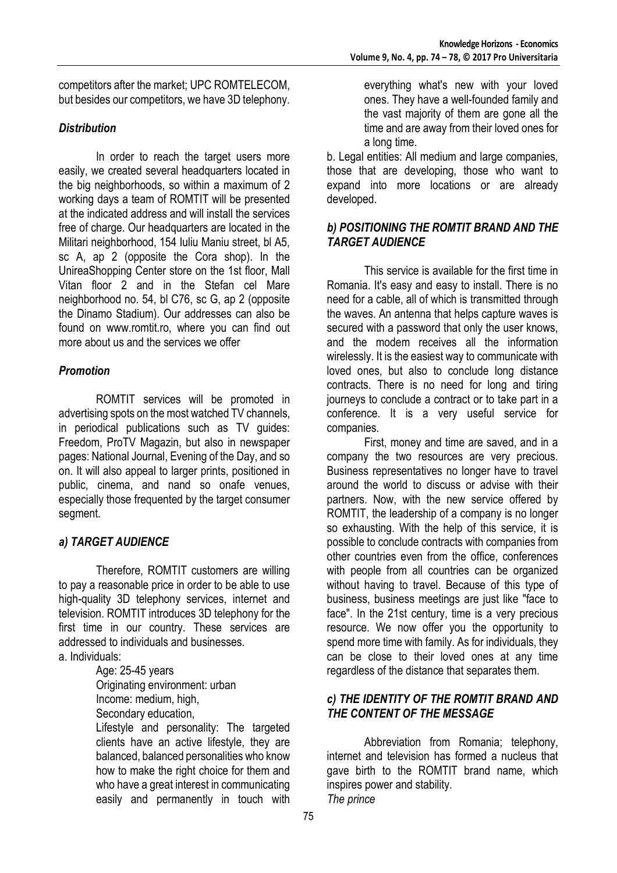competitors after the market; UPC ROMTELECOM, but besides our competitors, we have 3D telephony.

## *Distribution*

In order to reach the target users more easily, we created several headquarters located in the big neighborhoods, so within a maximum of 2 working days a team of ROMTIT will be presented at the indicated address and will install the services free of charge. Our headquarters are located in the Militari neighborhood, 154 Iuliu Maniu street, bl A5, sc A, ap 2 (opposite the Cora shop). In the UnireaShopping Center store on the 1st floor, Mall Vitan floor 2 and in the Stefan cel Mare neighborhood no. 54, bl C76, sc G, ap 2 (opposite the Dinamo Stadium). Our addresses can also be found on www.romtit.ro, where you can find out more about us and the services we offer

## *Promotion*

ROMTIT services will be promoted in advertising spots on the most watched TV channels, in periodical publications such as TV guides: Freedom, ProTV Magazin, but also in newspaper pages: National Journal, Evening of the Day, and so on. It will also appeal to larger prints, positioned in public, cinema, and nand so onafe venues, especially those frequented by the target consumer segment.

# *a) TARGET AUDIENCE*

Therefore, ROMTIT customers are willing to pay a reasonable price in order to be able to use high-quality 3D telephony services, internet and television. ROMTIT introduces 3D telephony for the first time in our country. These services are addressed to individuals and businesses.

a. Individuals:

Age: 25-45 years Originating environment: urban Income: medium, high,

Secondary education,

Lifestyle and personality: The targeted clients have an active lifestyle, they are balanced, balanced personalities who know how to make the right choice for them and who have a great interest in communicating easily and permanently in touch with everything what's new with your loved ones. They have a well-founded family and the vast majority of them are gone all the time and are away from their loved ones for a long time.

b. Legal entities: All medium and large companies, those that are developing, those who want to expand into more locations or are already developed.

#### *b) POSITIONING THE ROMTIT BRAND AND THE TARGET AUDIENCE*

This service is available for the first time in Romania. It's easy and easy to install. There is no need for a cable, all of which is transmitted through the waves. An antenna that helps capture waves is secured with a password that only the user knows, and the modem receives all the information wirelessly. It is the easiest way to communicate with loved ones, but also to conclude long distance contracts. There is no need for long and tiring journeys to conclude a contract or to take part in a conference. It is a very useful service for companies.

First, money and time are saved, and in a company the two resources are very precious. Business representatives no longer have to travel around the world to discuss or advise with their partners. Now, with the new service offered by ROMTIT, the leadership of a company is no longer so exhausting. With the help of this service, it is possible to conclude contracts with companies from other countries even from the office, conferences with people from all countries can be organized without having to travel. Because of this type of business, business meetings are just like "face to face". In the 21st century, time is a very precious resource. We now offer you the opportunity to spend more time with family. As for individuals, they can be close to their loved ones at any time regardless of the distance that separates them.

## *c) THE IDENTITY OF THE ROMTIT BRAND AND THE CONTENT OF THE MESSAGE*

Abbreviation from Romania; telephony, internet and television has formed a nucleus that gave birth to the ROMTIT brand name, which inspires power and stability. *The prince*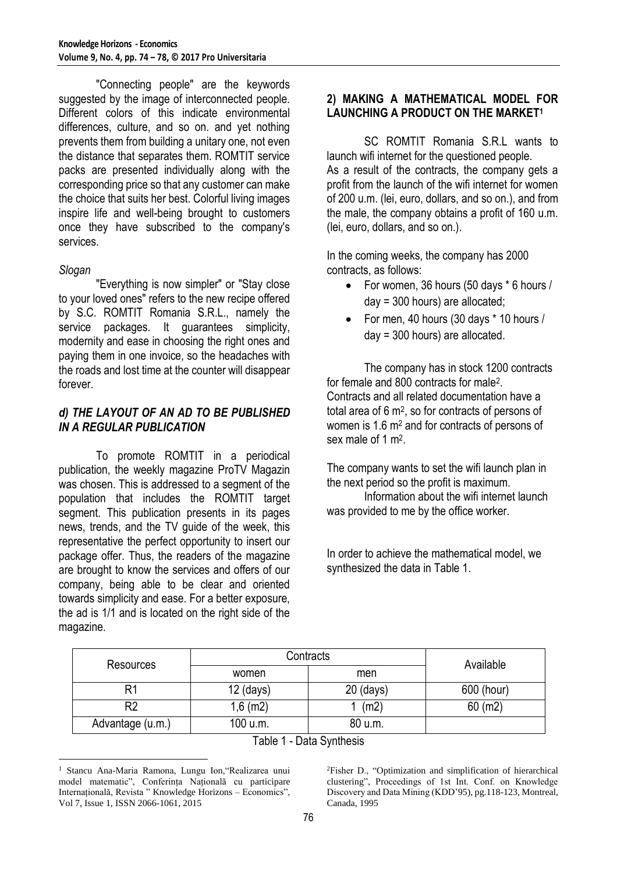"Connecting people" are the keywords suggested by the image of interconnected people. Different colors of this indicate environmental differences, culture, and so on. and yet nothing prevents them from building a unitary one, not even the distance that separates them. ROMTIT service packs are presented individually along with the corresponding price so that any customer can make the choice that suits her best. Colorful living images inspire life and well-being brought to customers once they have subscribed to the company's services.

#### *Slogan*

 $\overline{a}$ 

"Everything is now simpler" or "Stay close to your loved ones" refers to the new recipe offered by S.C. ROMTIT Romania S.R.L., namely the service packages. It guarantees simplicity, modernity and ease in choosing the right ones and paying them in one invoice, so the headaches with the roads and lost time at the counter will disappear forever.

#### *d) THE LAYOUT OF AN AD TO BE PUBLISHED IN A REGULAR PUBLICATION*

To promote ROMTIT in a periodical publication, the weekly magazine ProTV Magazin was chosen. This is addressed to a segment of the population that includes the ROMTIT target segment. This publication presents in its pages news, trends, and the TV guide of the week, this representative the perfect opportunity to insert our package offer. Thus, the readers of the magazine are brought to know the services and offers of our company, being able to be clear and oriented towards simplicity and ease. For a better exposure, the ad is 1/1 and is located on the right side of the magazine.

#### **2) MAKING A MATHEMATICAL MODEL FOR LAUNCHING A PRODUCT ON THE MARKET<sup>1</sup>**

SC ROMTIT Romania S.R.L wants to launch wifi internet for the questioned people. As a result of the contracts, the company gets a profit from the launch of the wifi internet for women of 200 u.m. (lei, euro, dollars, and so on.), and from the male, the company obtains a profit of 160 u.m. (lei, euro, dollars, and so on.).

In the coming weeks, the company has 2000 contracts, as follows:

- For women, 36 hours (50 days \* 6 hours / day = 300 hours) are allocated;
- For men, 40 hours (30 days \* 10 hours / day = 300 hours) are allocated.

The company has in stock 1200 contracts for female and 800 contracts for male<sup>2</sup>. Contracts and all related documentation have a total area of 6 m<sup>2</sup> , so for contracts of persons of women is 1.6 m<sup>2</sup> and for contracts of persons of sex male of 1 m<sup>2</sup>.

The company wants to set the wifi launch plan in the next period so the profit is maximum.

Information about the wifi internet launch was provided to me by the office worker.

In order to achieve the mathematical model, we synthesized the data in Table 1.

| Resources        | Contracts   |             | Available  |
|------------------|-------------|-------------|------------|
|                  | women       | men         |            |
|                  | $12$ (days) | $20$ (days) | 600 (hour) |
| R <sub>2</sub>   | $1,6$ (m2)  | (m2)        | $60$ (m2)  |
| Advantage (u.m.) | 100 u.m.    | 80 u.m.     |            |

Table 1 - Data Synthesis

<sup>2</sup>Fisher D., "Optimization and simplification of hierarchical clustering", Proceedings of 1st Int. Conf. on Knowledge Discovery and Data Mining (KDD'95), pg.118-123, Montreal, Canada, 1995

<sup>&</sup>lt;sup>1</sup> Stancu Ana-Maria Ramona, Lungu Ion, "Realizarea unui model matematic", Conferința Națională cu participare Internațională, Revista " Knowledge Horizons – Economics", Vol 7, Issue 1, ISSN 2066-1061, 2015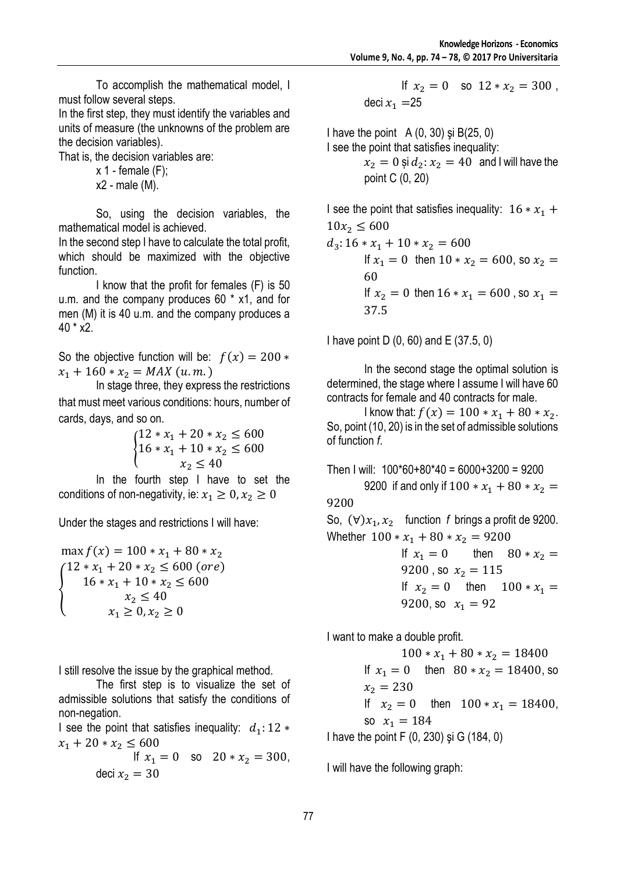To accomplish the mathematical model, I must follow several steps.

In the first step, they must identify the variables and units of measure (the unknowns of the problem are the decision variables).

That is, the decision variables are:

 $x$  1 - female  $(F)$ ;  $x2$  - male  $(M)$ .

So, using the decision variables, the

mathematical model is achieved. In the second step I have to calculate the total profit, which should be maximized with the objective function.

I know that the profit for females (F) is 50 u.m. and the company produces 60 \* x1, and for men (M) it is 40 u.m. and the company produces a 40 \* x2.

So the objective function will be:  $f(x) = 200 *$  $x_1 + 160 * x_2 = MAX(u.m.)$ 

In stage three, they express the restrictions that must meet various conditions: hours, number of cards, days, and so on.

$$
\begin{cases} 12 * x_1 + 20 * x_2 \le 600 \\ 16 * x_1 + 10 * x_2 \le 600 \\ x_2 \le 40 \end{cases}
$$

In the fourth step I have to set the conditions of non-negativity, ie:  $x_1 \geq 0, x_2 \geq 0$ 

Under the stages and restrictions I will have:

$$
\max_{1} f(x) = 100 * x_1 + 80 * x_2
$$
  
\n
$$
\begin{cases}\n12 * x_1 + 20 * x_2 \le 600 \text{ (ore)} \\
16 * x_1 + 10 * x_2 \le 600 \\
x_2 \le 40 \\
x_1 \ge 0, x_2 \ge 0\n\end{cases}
$$

I still resolve the issue by the graphical method.

The first step is to visualize the set of admissible solutions that satisfy the conditions of non-negation.

I see the point that satisfies inequality:  $d_1: 12 *$  $x_1 + 20 * x_2 \le 600$ 

If 
$$
x_1 = 0
$$
 so  $20 * x_2 = 300$ ,  
deci  $x_2 = 30$ 

$$
\begin{array}{rl} \text{If} \ x_2 = 0 & \text{so} \ 12 * x_2 = 300 \ , \\ \text{deci} \ x_1 = & 25 \end{array}
$$

I have the point  $A(0, 30)$  și  $B(25, 0)$ I see the point that satisfies inequality:

 $x_2 = 0$  și  $d_2$ :  $x_2 = 40$  and I will have the point C (0, 20)

I see the point that satisfies inequality:  $16 \times x_1 +$  $10x_2 \le 600$ 

 $d_3$ : 16 \*  $x_1$  + 10 \*  $x_2$  = 600 If  $x_1 = 0$  then  $10 * x_2 = 600$ , so  $x_2 =$ 60 If  $x_2 = 0$  then  $16 * x_1 = 600$ , so  $x_1 =$ 37.5

I have point D (0, 60) and E (37.5, 0)

In the second stage the optimal solution is determined, the stage where I assume I will have 60 contracts for female and 40 contracts for male.

I know that:  $f(x) = 100 * x_1 + 80 * x_2$ . So, point (10, 20) is in the set of admissible solutions of function *f*.

Then I will: 100\*60+80\*40 = 6000+3200 = 9200 9200 if and only if  $100 * x_1 + 80 * x_2 =$ 9200

So,  $(\forall) x_1, x_2$  function *f* brings a profit de 9200. Whether  $100 \times x_1 + 80 \times x_2 = 9200$ 

If 
$$
x_1 = 0
$$
 then  $80 * x_2 =$   
\n9200, so  $x_2 = 115$   
\nIf  $x_2 = 0$  then  $100 * x_1 =$   
\n9200, so  $x_1 = 92$ 

I want to make a double profit.

 $100 * x_1 + 80 * x_2 = 18400$ If  $x_1 = 0$  then  $80 * x_2 = 18400$ , so  $x_2 = 230$ If  $x_2 = 0$  then  $100 \times x_1 = 18400$ , so  $x_1 = 184$ I have the point F (0, 230) şi G (184, 0)

I will have the following graph: